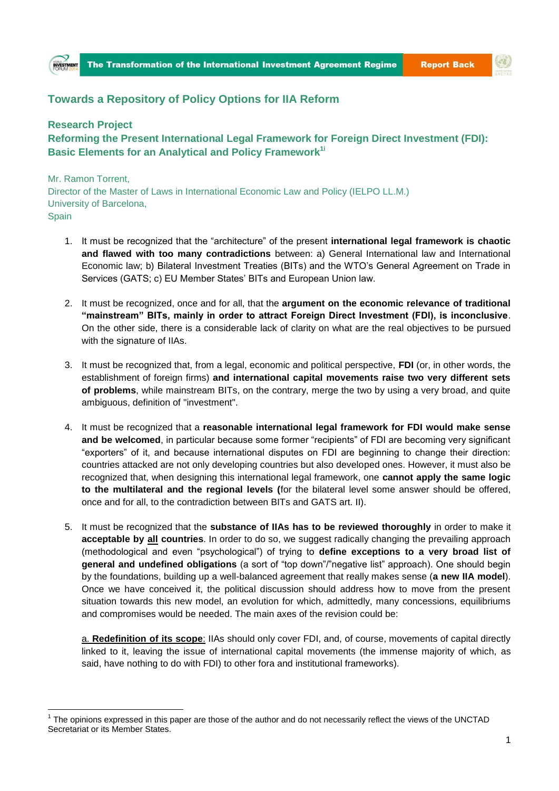## **Towards a Repository of Policy Options for IIA Reform**

## **Research Project**

**Reforming the Present International Legal Framework for Foreign Direct Investment (FDI): Basic Elements for an Analytical and Policy Framework1i**

Mr. Ramon Torrent, Director of the Master of Laws in International Economic Law and Policy (IELPO LL.M.) University of Barcelona, Spain

- 1. It must be recognized that the "architecture" of the present **international legal framework is chaotic and flawed with too many contradictions** between: a) General International law and International Economic law; b) Bilateral Investment Treaties (BITs) and the WTO's General Agreement on Trade in Services (GATS; c) EU Member States' BITs and European Union law.
- 2. It must be recognized, once and for all, that the **argument on the economic relevance of traditional "mainstream" BITs, mainly in order to attract Foreign Direct Investment (FDI), is inconclusive**. On the other side, there is a considerable lack of clarity on what are the real objectives to be pursued with the signature of IIAs.
- 3. It must be recognized that, from a legal, economic and political perspective, **FDI** (or, in other words, the establishment of foreign firms) **and international capital movements raise two very different sets of problems**, while mainstream BITs, on the contrary, merge the two by using a very broad, and quite ambiguous, definition of "investment".
- 4. It must be recognized that a **reasonable international legal framework for FDI would make sense and be welcomed**, in particular because some former "recipients" of FDI are becoming very significant "exporters" of it, and because international disputes on FDI are beginning to change their direction: countries attacked are not only developing countries but also developed ones. However, it must also be recognized that, when designing this international legal framework, one **cannot apply the same logic to the multilateral and the regional levels (**for the bilateral level some answer should be offered, once and for all, to the contradiction between BITs and GATS art. II).
- 5. It must be recognized that the **substance of IIAs has to be reviewed thoroughly** in order to make it **acceptable by all countries**. In order to do so, we suggest radically changing the prevailing approach (methodological and even "psychological") of trying to **define exceptions to a very broad list of general and undefined obligations** (a sort of "top down"/"negative list" approach). One should begin by the foundations, building up a well-balanced agreement that really makes sense (**a new IIA model**). Once we have conceived it, the political discussion should address how to move from the present situation towards this new model, an evolution for which, admittedly, many concessions, equilibriums and compromises would be needed. The main axes of the revision could be:

a. **Redefinition of its scope**: IIAs should only cover FDI, and, of course, movements of capital directly linked to it, leaving the issue of international capital movements (the immense majority of which, as said, have nothing to do with FDI) to other fora and institutional frameworks).

**<sup>.</sup>**  $1$  The opinions expressed in this paper are those of the author and do not necessarily reflect the views of the UNCTAD Secretariat or its Member States.